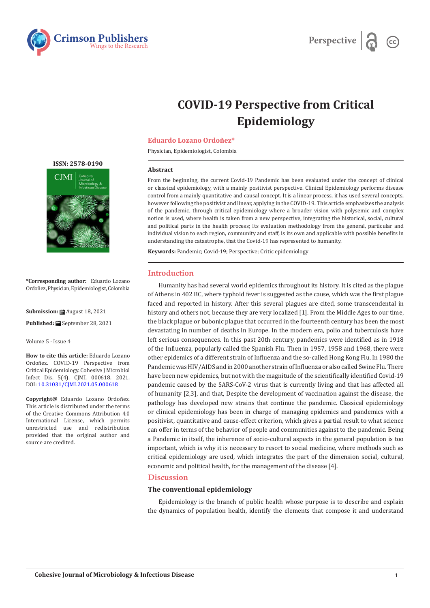



# **COVID-19 Perspective from Critical Epidemiology**

# **Eduardo Lozano Ordoñez\***

Physician, Epidemiologist, Colombia

## **Abstract**

From the beginning, the current Covid-19 Pandemic has been evaluated under the concept of clinical or classical epidemiology, with a mainly positivist perspective. Clinical Epidemiology performs disease control from a mainly quantitative and causal concept. It is a linear process, it has used several concepts, however following the positivist and linear, applying in the COVID-19. This article emphasizes the analysis of the pandemic, through critical epidemiology where a broader vision with polysemic and complex notion is used, where health is taken from a new perspective, integrating the historical, social, cultural and political parts in the health process; Its evaluation methodology from the general, particular and individual vision to each region, community and staff, is its own and applicable with possible benefits in understanding the catastrophe, that the Covid-19 has represented to humanity.

**Keywords:** Pandemic; Covid-19; Perspective; Critic epidemiology

# **Introduction**

Humanity has had several world epidemics throughout its history. It is cited as the plague of Athens in 402 BC, where typhoid fever is suggested as the cause, which was the first plague faced and reported in history. After this several plagues are cited, some transcendental in history and others not, because they are very localized [1]. From the Middle Ages to our time, the black plague or bubonic plague that occurred in the fourteenth century has been the most devastating in number of deaths in Europe. In the modern era, polio and tuberculosis have left serious consequences. In this past 20th century, pandemics were identified as in 1918 of the Influenza, popularly called the Spanish Flu. Then in 1957, 1958 and 1968, there were other epidemics of a different strain of Influenza and the so-called Hong Kong Flu. In 1980 the Pandemic was HIV/AIDS and in 2000 another strain of Influenza or also called Swine Flu. There have been new epidemics, but not with the magnitude of the scientifically identified Covid-19 pandemic caused by the SARS-CoV-2 virus that is currently living and that has affected all of humanity [2,3], and that, Despite the development of vaccination against the disease, the pathology has developed new strains that continue the pandemic. Classical epidemiology or clinical epidemiology has been in charge of managing epidemics and pandemics with a positivist, quantitative and cause-effect criterion, which gives a partial result to what science can offer in terms of the behavior of people and communities against to the pandemic. Being a Pandemic in itself, the inherence of socio-cultural aspects in the general population is too important, which is why it is necessary to resort to social medicine, where methods such as critical epidemiology are used, which integrates the part of the dimension social, cultural, economic and political health, for the management of the disease [4].

# **Discussion**

# **The conventional epidemiology**

Epidemiology is the branch of public health whose purpose is to describe and explain the dynamics of population health, identify the elements that compose it and understand

#### **[ISSN: 2578-0190](https://crimsonpublishers.com/cjmi/)**



**\*Corresponding author:** Eduardo Lozano Ordoñez, Physician, Epidemiologist, Colombia

**Submission:** August 18, 2021

**Published:** September 28, 2021

Volume 5 - Issue 4

**How to cite this article:** Eduardo Lozano Ordoñez. COVID-19 Perspective from Critical Epidemiology. Cohesive J Microbiol Infect Dis. 5(4). CJMI. 000618. 2021. DOI: [10.31031/CJMI.2021.05.000618](http://dx.doi.org/10.31031/CJMI.2021.05.000618)

**Copyright@** Eduardo Lozano Ordoñez. This article is distributed under the terms of the Creative Commons Attribution 4.0 International License, which permits unrestricted use and redistribution provided that the original author and source are credited.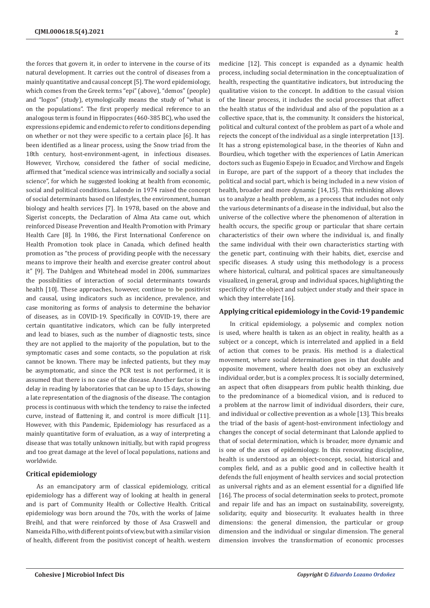the forces that govern it, in order to intervene in the course of its natural development. It carries out the control of diseases from a mainly quantitative and causal concept [5]. The word epidemiology, which comes from the Greek terms "epi" (above), "demos" (people) and "logos" (study), etymologically means the study of "what is on the populations". The first properly medical reference to an analogous term is found in Hippocrates (460-385 BC), who used the expressions epidemic and endemic to refer to conditions depending on whether or not they were specific to a certain place [6]. It has been identified as a linear process, using the Snow triad from the 18th century, host-environment-agent, in infectious diseases. However, Virchow, considered the father of social medicine, affirmed that "medical science was intrinsically and socially a social science", for which he suggested looking at health from economic, social and political conditions. Lalonde in 1974 raised the concept of social determinants based on lifestyles, the environment, human biology and health services [7]. In 1978, based on the above and Sigerist concepts, the Declaration of Alma Ata came out, which reinforced Disease Prevention and Health Promotion with Primary Health Care [8]. In 1986, the First International Conference on Health Promotion took place in Canada, which defined health promotion as "the process of providing people with the necessary means to improve their health and exercise greater control about it" [9]. The Dahlgen and Whitehead model in 2006, summarizes the possibilities of interaction of social determinants towards health [10]. These approaches, however, continue to be positivist and causal, using indicators such as incidence, prevalence, and case monitoring as forms of analysis to determine the behavior of diseases, as in COVID-19. Specifically in COVID-19, there are certain quantitative indicators, which can be fully interpreted and lead to biases, such as the number of diagnostic tests, since they are not applied to the majority of the population, but to the symptomatic cases and some contacts, so the population at risk cannot be known. There may be infected patients, but they may be asymptomatic, and since the PCR test is not performed, it is assumed that there is no case of the disease. Another factor is the delay in reading by laboratories that can be up to 15 days, showing a late representation of the diagnosis of the disease. The contagion process is continuous with which the tendency to raise the infected curve, instead of flattening it, and control is more difficult [11]. However, with this Pandemic, Epidemiology has resurfaced as a mainly quantitative form of evaluation, as a way of interpreting a disease that was totally unknown initially, but with rapid progress and too great damage at the level of local populations, nations and worldwide.

# **Critical epidemiology**

As an emancipatory arm of classical epidemiology, critical epidemiology has a different way of looking at health in general and is part of Community Health or Collective Health. Critical epidemiology was born around the 70s, with the works of Jaime Breihl, and that were reinforced by those of Asa Craswell and Nameida Filho, with different points of view, but with a similar vision of health, different from the positivist concept of health. western

medicine [12]. This concept is expanded as a dynamic health process, including social determination in the conceptualization of health, respecting the quantitative indicators, but introducing the qualitative vision to the concept. In addition to the casual vision of the linear process, it includes the social processes that affect the health status of the individual and also of the population as a collective space, that is, the community. It considers the historical, political and cultural context of the problem as part of a whole and rejects the concept of the individual as a single interpretation [13]. It has a strong epistemological base, in the theories of Kuhn and Bourdieu, which together with the experiences of Latin American doctors such as Eugenio Espejo in Ecuador, and Virchow and Engels in Europe, are part of the support of a theory that includes the political and social part, which is being included in a new vision of health, broader and more dynamic [14,15]. This rethinking allows us to analyze a health problem, as a process that includes not only the various determinants of a disease in the individual, but also the universe of the collective where the phenomenon of alteration in health occurs, the specific group or particular that share certain characteristics of their own where the individual is, and finally the same individual with their own characteristics starting with the genetic part, continuing with their habits, diet, exercise and specific diseases. A study using this methodology is a process where historical, cultural, and political spaces are simultaneously visualized, in general, group and individual spaces, highlighting the specificity of the object and subject under study and their space in which they interrelate [16].

# **Applying critical epidemiology in the Covid-19 pandemic**

In critical epidemiology, a polysemic and complex notion is used, where health is taken as an object in reality, health as a subject or a concept, which is interrelated and applied in a field of action that comes to be praxis. His method is a dialectical movement, where social determination goes in that double and opposite movement, where health does not obey an exclusively individual order, but is a complex process. It is socially determined, an aspect that often disappears from public health thinking, due to the predominance of a biomedical vision, and is reduced to a problem at the narrow limit of individual disorders, their cure, and individual or collective prevention as a whole [13]. This breaks the triad of the basis of agent-host-environment infectiology and changes the concept of social determinant that Lalonde applied to that of social determination, which is broader, more dynamic and is one of the axes of epidemiology. In this renovating discipline, health is understood as an object-concept, social, historical and complex field, and as a public good and in collective health it defends the full enjoyment of health services and social protection as universal rights and as an element essential for a dignified life [16]. The process of social determination seeks to protect, promote and repair life and has an impact on sustainability, sovereignty, solidarity, equity and biosecurity. It evaluates health in three dimensions: the general dimension, the particular or group dimension and the individual or singular dimension. The general dimension involves the transformation of economic processes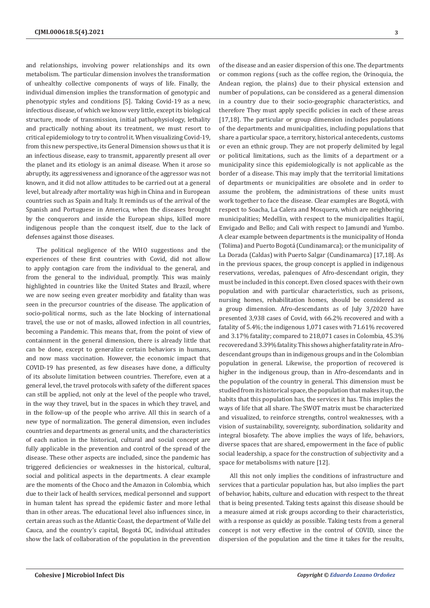and relationships, involving power relationships and its own metabolism. The particular dimension involves the transformation of unhealthy collective components of ways of life. Finally, the individual dimension implies the transformation of genotypic and phenotypic styles and conditions [5]. Taking Covid-19 as a new, infectious disease, of which we know very little, except its biological structure, mode of transmission, initial pathophysiology, lethality and practically nothing about its treatment, we must resort to critical epidemiology to try to control it. When visualizing Covid-19, from this new perspective, its General Dimension shows us that it is an infectious disease, easy to transmit, apparently present all over the planet and its etiology is an animal disease. When it arose so abruptly, its aggressiveness and ignorance of the aggressor was not known, and it did not allow attitudes to be carried out at a general level, but already after mortality was high in China and in European countries such as Spain and Italy. It reminds us of the arrival of the Spanish and Portuguese in America, when the diseases brought by the conquerors and inside the European ships, killed more indigenous people than the conquest itself, due to the lack of defenses against those diseases.

The political negligence of the WHO suggestions and the experiences of these first countries with Covid, did not allow to apply contagion care from the individual to the general, and from the general to the individual, promptly. This was mainly highlighted in countries like the United States and Brazil, where we are now seeing even greater morbidity and fatality than was seen in the precursor countries of the disease. The application of socio-political norms, such as the late blocking of international travel, the use or not of masks, allowed infection in all countries, becoming a Pandemic. This means that, from the point of view of containment in the general dimension, there is already little that can be done, except to generalize certain behaviors in humans, and now mass vaccination. However, the economic impact that COVID-19 has presented, as few diseases have done, a difficulty of its absolute limitation between countries. Therefore, even at a general level, the travel protocols with safety of the different spaces can still be applied, not only at the level of the people who travel, in the way they travel, but in the spaces in which they travel, and in the follow-up of the people who arrive. All this in search of a new type of normalization. The general dimension, even includes countries and departments as general units, and the characteristics of each nation in the historical, cultural and social concept are fully applicable in the prevention and control of the spread of the disease. These other aspects are included, since the pandemic has triggered deficiencies or weaknesses in the historical, cultural, social and political aspects in the departments. A clear example are the moments of the Choco and the Amazon in Colombia, which due to their lack of health services, medical personnel and support in human talent has spread the epidemic faster and more lethal than in other areas. The educational level also influences since, in certain areas such as the Atlantic Coast, the department of Valle del Cauca, and the country's capital, Bogotá DC, individual attitudes show the lack of collaboration of the population in the prevention

of the disease and an easier dispersion of this one. The departments or common regions (such as the coffee region, the Orinoquia, the Andean region, the plains) due to their physical extension and number of populations, can be considered as a general dimension in a country due to their socio-geographic characteristics, and therefore They must apply specific policies in each of these areas [17,18]. The particular or group dimension includes populations of the departments and municipalities, including populations that share a particular space, a territory, historical antecedents, customs or even an ethnic group. They are not properly delimited by legal or political limitations, such as the limits of a department or a municipality since this epidemiologically is not applicable as the border of a disease. This may imply that the territorial limitations of departments or municipalities are obsolete and in order to assume the problem, the administrations of these units must work together to face the disease. Clear examples are Bogotá, with respect to Soacha, La Calera and Mosquera, which are neighboring municipalities; Medellin, with respect to the municipalities Itagüí, Envigado and Bello; and Cali with respect to Jamundí and Yumbo. A clear example between departments is the municipality of Honda (Tolima) and Puerto Bogotá (Cundinamarca); or the municipality of La Dorada (Caldas) with Puerto Salgar (Cundinamarca) [17,18]. As in the previous spaces, the group concept is applied in indigenous reservations, veredas, palenques of Afro-descendant origin, they must be included in this concept. Even closed spaces with their own population and with particular characteristics, such as prisons, nursing homes, rehabilitation homes, should be considered as a group dimension. Afro-descendants as of July 3/2020 have presented 3,938 cases of Covid, with 66.2% recovered and with a fatality of 5.4%; the indigenous 1,071 cases with 71.61% recovered and 3.17% fatality; compared to 218,071 cases in Colombia, 45.3% recovered and 3.39% fatality. This shows a higher fatality rate in Afrodescendant groups than in indigenous groups and in the Colombian population in general. Likewise, the proportion of recovered is higher in the indigenous group, than in Afro-descendants and in the population of the country in general. This dimension must be studied from its historical space, the population that makes it up, the habits that this population has, the services it has. This implies the ways of life that all share. The SWOT matrix must be characterized and visualized, to reinforce strengths, control weaknesses, with a vision of sustainability, sovereignty, subordination, solidarity and integral biosafety. The above implies the ways of life, behaviors, diverse spaces that are shared, empowerment in the face of public social leadership, a space for the construction of subjectivity and a space for metabolisms with nature [12].

All this not only implies the conditions of infrastructure and services that a particular population has, but also implies the part of behavior, habits, culture and education with respect to the threat that is being presented. Taking tests against this disease should be a measure aimed at risk groups according to their characteristics, with a response as quickly as possible. Taking tests from a general concept is not very effective in the control of COVID, since the dispersion of the population and the time it takes for the results,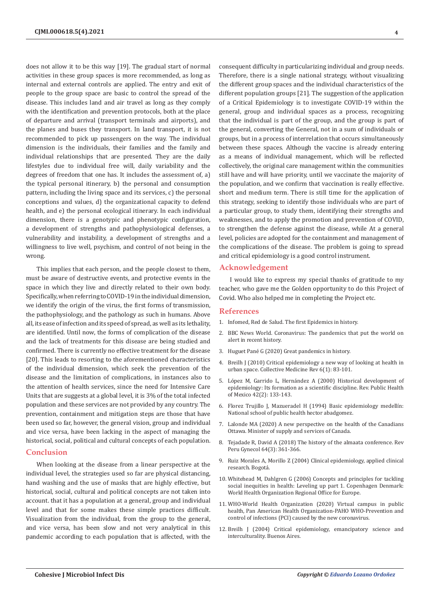does not allow it to be this way [19]. The gradual start of normal activities in these group spaces is more recommended, as long as internal and external controls are applied. The entry and exit of people to the group space are basic to control the spread of the disease. This includes land and air travel as long as they comply with the identification and prevention protocols, both at the place of departure and arrival (transport terminals and airports), and the planes and buses they transport. In land transport, it is not recommended to pick up passengers on the way. The individual dimension is the individuals, their families and the family and individual relationships that are presented. They are the daily lifestyles due to individual free will, daily variability and the degrees of freedom that one has. It includes the assessment of, a) the typical personal itinerary, b) the personal and consumption pattern, including the living space and its services, c) the personal conceptions and values, d) the organizational capacity to defend health, and e) the personal ecological itinerary. In each individual dimension, there is a genotypic and phenotypic configuration, a development of strengths and pathophysiological defenses, a vulnerability and instability, a development of strengths and a willingness to live well, psychism, and control of not being in the wrong.

This implies that each person, and the people closest to them, must be aware of destructive events, and protective events in the space in which they live and directly related to their own body. Specifically, when referring to COVID-19 in the individual dimension, we identify the origin of the virus, the first forms of transmission, the pathophysiology, and the pathology as such in humans. Above all, its ease of infection and its speed of spread, as well as its lethality, are identified. Until now, the forms of complication of the disease and the lack of treatments for this disease are being studied and confirmed. There is currently no effective treatment for the disease [20]. This leads to resorting to the aforementioned characteristics of the individual dimension, which seek the prevention of the disease and the limitation of complications, in instances also to the attention of health services, since the need for Intensive Care Units that are suggests at a global level, it is 3% of the total infected population and these services are not provided by any country. The prevention, containment and mitigation steps are those that have been used so far, however, the general vision, group and individual and vice versa, have been lacking in the aspect of managing the historical, social, political and cultural concepts of each population.

# **Conclusion**

When looking at the disease from a linear perspective at the individual level, the strategies used so far are physical distancing, hand washing and the use of masks that are highly effective, but historical, social, cultural and political concepts are not taken into account. that it has a population at a general, group and individual level and that for some makes these simple practices difficult. Visualization from the individual, from the group to the general, and vice versa, has been slow and not very analytical in this pandemic according to each population that is affected, with the

consequent difficulty in particularizing individual and group needs. Therefore, there is a single national strategy, without visualizing the different group spaces and the individual characteristics of the different population groups [21]. The suggestion of the application of a Critical Epidemiology is to investigate COVID-19 within the general, group and individual spaces as a process, recognizing that the individual is part of the group, and the group is part of the general, converting the General, not in a sum of individuals or groups, but in a process of interrelation that occurs simultaneously between these spaces. Although the vaccine is already entering as a means of individual management, which will be reflected collectively, the original care management within the communities still have and will have priority, until we vaccinate the majority of the population, and we confirm that vaccination is really effective. short and medium term. There is still time for the application of this strategy, seeking to identify those individuals who are part of a particular group, to study them, identifying their strengths and weaknesses, and to apply the promotion and prevention of COVID, to strengthen the defense against the disease, while At a general level, policies are adopted for the containment and management of the complications of the disease. The problem is going to spread and critical epidemiology is a good control instrument.

# **Acknowledgement**

I would like to express my special thanks of gratitude to my teacher, who gave me the Golden opportunity to do this Project of Covid. Who also helped me in completing the Project etc.

### **References**

- 1. [Infomed, Red de Salud. The first Epidemics in history.](http://www.sld.cu/galerias/pdf/sitios/bmn/las_primeras_epidemias_de_la_historia.pdf)
- 2. BBC News World. Coronavirus: The pandemics that put the world on alert in recent history.
- 3. Huguet Pané G (2020) Great pandemics in history.
- 4. Breilh J (2010) Critical epidemiology a new way of looking at health in urban space. Collective Medicine Rev 6(1): 83-101.
- 5. [López M, Garrido L, Hernández A \(2000\) Historical development of](https://pubmed.ncbi.nlm.nih.gov/10893984/) [epidemiology: Its formation as a scientific discipline. Rev. Public Health](https://pubmed.ncbi.nlm.nih.gov/10893984/) [of Mexico 42\(2\): 133-143.](https://pubmed.ncbi.nlm.nih.gov/10893984/)
- 6. Florez Trujillo J, Mazueradel H (1994) Basic epidemiology medellín: National school of public health hector abadgomez.
- 7. Lalonde MA (2020) A new perspective on the health of the Canadians Ottawa. Minister of supply and services of Canada.
- 8. Tejadade R, David A (2018) The history of the almaata conference. Rev Peru Gynecol 64(3): 361-366.
- 9. Ruiz Morales A, Morillo Z (2004) Clinical epidemiology, applied clinical research. Bogotá.
- 10. Whitehead M, Dahlgren G (2006) Concepts and principles for tackling social inequities in health: Leveling up part 1. Copenhagen Denmark: World Health Organization Regional Office for Europe.
- 11. WHO-World Health Organization (2020) Virtual campus in public health, Pan American Health Organization-PAHO WHO-Prevention and control of infections (PCI) caused by the new coronavirus.
- 12. Breilh J (2004) Critical epidemiology, emancipatory science and interculturality. Buenos Aires.